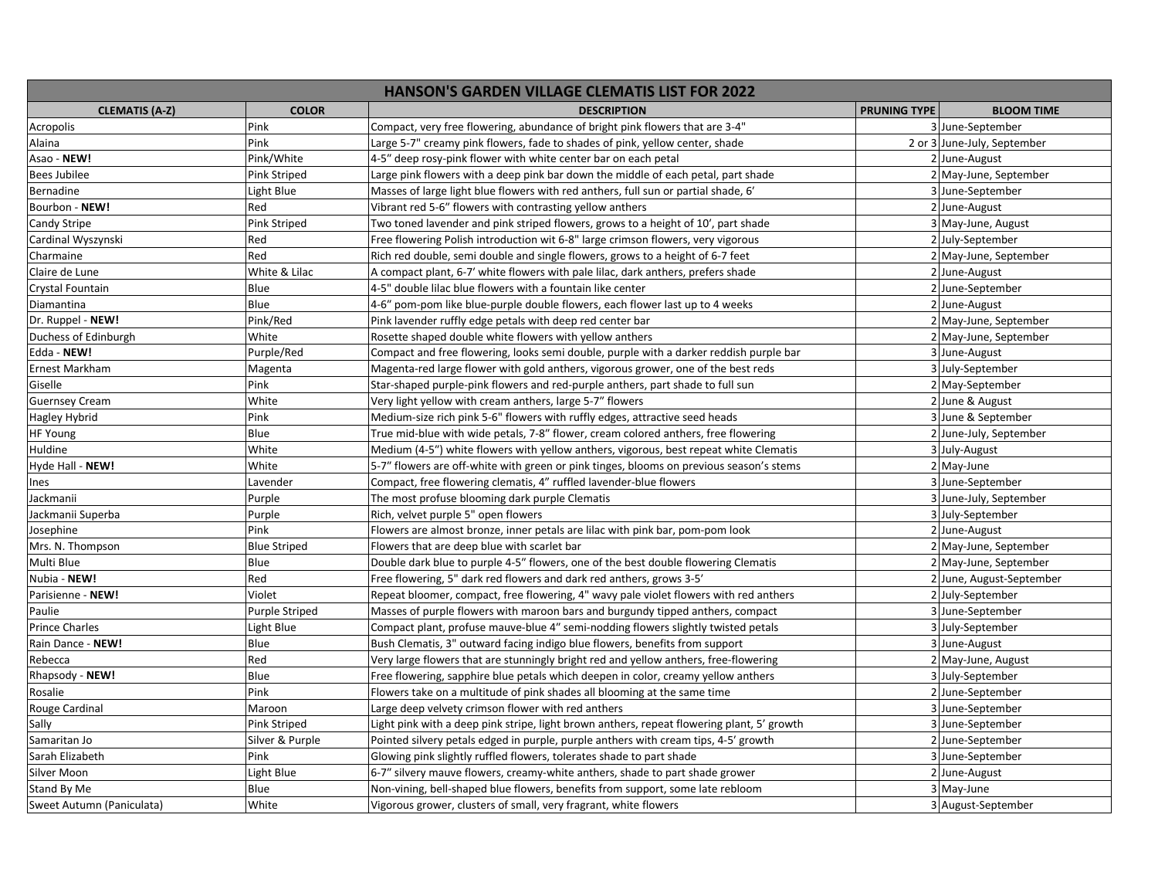| <b>HANSON'S GARDEN VILLAGE CLEMATIS LIST FOR 2022</b> |                       |                                                                                            |                     |                             |  |
|-------------------------------------------------------|-----------------------|--------------------------------------------------------------------------------------------|---------------------|-----------------------------|--|
| <b>CLEMATIS (A-Z)</b>                                 | <b>COLOR</b>          | <b>DESCRIPTION</b>                                                                         | <b>PRUNING TYPE</b> | <b>BLOOM TIME</b>           |  |
| Acropolis                                             | Pink                  | Compact, very free flowering, abundance of bright pink flowers that are 3-4"               |                     | 3 June-September            |  |
| Alaina                                                | Pink                  | Large 5-7" creamy pink flowers, fade to shades of pink, yellow center, shade               |                     | 2 or 3 June-July, September |  |
| Asao - NEW!                                           | Pink/White            | 4-5" deep rosy-pink flower with white center bar on each petal                             |                     | 2 June-August               |  |
| <b>Bees Jubilee</b>                                   | Pink Striped          | Large pink flowers with a deep pink bar down the middle of each petal, part shade          |                     | 2 May-June, September       |  |
| Bernadine                                             | Light Blue            | Masses of large light blue flowers with red anthers, full sun or partial shade, 6'         |                     | 3 June-September            |  |
| Bourbon - NEW!                                        | Red                   | Vibrant red 5-6" flowers with contrasting yellow anthers                                   |                     | 2 June-August               |  |
| Candy Stripe                                          | Pink Striped          | Two toned lavender and pink striped flowers, grows to a height of 10', part shade          |                     | 3 May-June, August          |  |
| Cardinal Wyszynski                                    | Red                   | Free flowering Polish introduction wit 6-8" large crimson flowers, very vigorous           |                     | 2 July-September            |  |
| Charmaine                                             | Red                   | Rich red double, semi double and single flowers, grows to a height of 6-7 feet             |                     | 2 May-June, September       |  |
| Claire de Lune                                        | White & Lilac         | A compact plant, 6-7' white flowers with pale lilac, dark anthers, prefers shade           |                     | 2 June-August               |  |
| Crystal Fountain                                      | Blue                  | 4-5" double lilac blue flowers with a fountain like center                                 |                     | 2 June-September            |  |
| Diamantina                                            | Blue                  | 4-6" pom-pom like blue-purple double flowers, each flower last up to 4 weeks               |                     | 2 June-August               |  |
| Dr. Ruppel - NEW!                                     | Pink/Red              | Pink lavender ruffly edge petals with deep red center bar                                  |                     | 2 May-June, September       |  |
| Duchess of Edinburgh                                  | White                 | Rosette shaped double white flowers with yellow anthers                                    |                     | 2 May-June, September       |  |
| Edda - NEW!                                           | Purple/Red            | Compact and free flowering, looks semi double, purple with a darker reddish purple bar     |                     | 3 June-August               |  |
| Ernest Markham                                        | Magenta               | Magenta-red large flower with gold anthers, vigorous grower, one of the best reds          |                     | 3 July-September            |  |
| Giselle                                               | Pink                  | Star-shaped purple-pink flowers and red-purple anthers, part shade to full sun             |                     | 2 May-September             |  |
| <b>Guernsey Cream</b>                                 | White                 | Very light yellow with cream anthers, large 5-7" flowers                                   |                     | 2 June & August             |  |
| Hagley Hybrid                                         | Pink                  | Medium-size rich pink 5-6" flowers with ruffly edges, attractive seed heads                |                     | 3 June & September          |  |
| HF Young                                              | Blue                  | True mid-blue with wide petals, 7-8" flower, cream colored anthers, free flowering         |                     | 2 June-July, September      |  |
| Huldine                                               | White                 | Medium (4-5") white flowers with yellow anthers, vigorous, best repeat white Clematis      |                     | 3 July-August               |  |
| Hyde Hall - NEW!                                      | White                 | 5-7" flowers are off-white with green or pink tinges, blooms on previous season's stems    |                     | 2 May-June                  |  |
| Ines                                                  | Lavender              | Compact, free flowering clematis, 4" ruffled lavender-blue flowers                         |                     | 3 June-September            |  |
| Jackmanii                                             | Purple                | The most profuse blooming dark purple Clematis                                             |                     | 3 June-July, September      |  |
| Jackmanii Superba                                     | Purple                | Rich, velvet purple 5" open flowers                                                        |                     | 3 July-September            |  |
| Josephine                                             | Pink                  | Flowers are almost bronze, inner petals are lilac with pink bar, pom-pom look              |                     | 2 June-August               |  |
| Mrs. N. Thompson                                      | <b>Blue Striped</b>   | Flowers that are deep blue with scarlet bar                                                |                     | 2 May-June, September       |  |
| Multi Blue                                            | Blue                  | Double dark blue to purple 4-5" flowers, one of the best double flowering Clematis         |                     | 2 May-June, September       |  |
| Nubia - NEW!                                          | Red                   | Free flowering, 5" dark red flowers and dark red anthers, grows 3-5'                       |                     | 2 June, August-September    |  |
| Parisienne - NEW!                                     | Violet                | Repeat bloomer, compact, free flowering, 4" wavy pale violet flowers with red anthers      |                     | 2 July-September            |  |
| Paulie                                                | <b>Purple Striped</b> | Masses of purple flowers with maroon bars and burgundy tipped anthers, compact             |                     | 3 June-September            |  |
| <b>Prince Charles</b>                                 | Light Blue            | Compact plant, profuse mauve-blue 4" semi-nodding flowers slightly twisted petals          |                     | 3 July-September            |  |
| Rain Dance - NEW!                                     | Blue                  | Bush Clematis, 3" outward facing indigo blue flowers, benefits from support                |                     | 3 June-August               |  |
| Rebecca                                               | Red                   | Very large flowers that are stunningly bright red and yellow anthers, free-flowering       |                     | 2 May-June, August          |  |
| Rhapsody - NEW!                                       | Blue                  | Free flowering, sapphire blue petals which deepen in color, creamy yellow anthers          |                     | 3 July-September            |  |
| Rosalie                                               | Pink                  | Flowers take on a multitude of pink shades all blooming at the same time                   |                     | 2 June-September            |  |
| Rouge Cardinal                                        | Maroon                | Large deep velvety crimson flower with red anthers                                         |                     | 3 June-September            |  |
| Sally                                                 | Pink Striped          | Light pink with a deep pink stripe, light brown anthers, repeat flowering plant, 5' growth |                     | 3 June-September            |  |
| Samaritan Jo                                          | Silver & Purple       | Pointed silvery petals edged in purple, purple anthers with cream tips, 4-5' growth        |                     | 2 June-September            |  |
| Sarah Elizabeth                                       | Pink                  | Glowing pink slightly ruffled flowers, tolerates shade to part shade                       |                     | 3 June-September            |  |
| Silver Moon                                           | Light Blue            | 6-7" silvery mauve flowers, creamy-white anthers, shade to part shade grower               |                     | 2 June-August               |  |
| Stand By Me                                           | Blue                  | Non-vining, bell-shaped blue flowers, benefits from support, some late rebloom             |                     | 3 May-June                  |  |
| Sweet Autumn (Paniculata)                             | White                 | Vigorous grower, clusters of small, very fragrant, white flowers                           |                     | 3 August-September          |  |